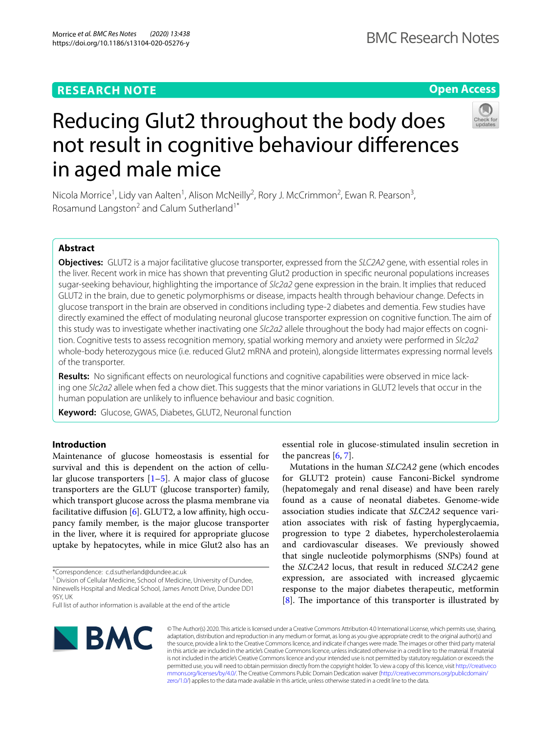# **RESEARCH NOTE**

**Open Access**

# Reducing Glut2 throughout the body does not result in cognitive behaviour diferences in aged male mice

Nicola Morrice<sup>1</sup>, Lidy van Aalten<sup>1</sup>, Alison McNeilly<sup>2</sup>, Rory J. McCrimmon<sup>2</sup>, Ewan R. Pearson<sup>3</sup>, Rosamund Langston<sup>2</sup> and Calum Sutherland<sup>1\*</sup>

# **Abstract**

**Objectives:** GLUT2 is a major facilitative glucose transporter, expressed from the *SLC2A2* gene, with essential roles in the liver. Recent work in mice has shown that preventing Glut2 production in specifc neuronal populations increases sugar-seeking behaviour, highlighting the importance of *Slc2a2* gene expression in the brain. It implies that reduced GLUT2 in the brain, due to genetic polymorphisms or disease, impacts health through behaviour change. Defects in glucose transport in the brain are observed in conditions including type-2 diabetes and dementia. Few studies have directly examined the efect of modulating neuronal glucose transporter expression on cognitive function. The aim of this study was to investigate whether inactivating one *Slc2a2* allele throughout the body had major efects on cognition. Cognitive tests to assess recognition memory, spatial working memory and anxiety were performed in *Slc2a2* whole-body heterozygous mice (i.e. reduced Glut2 mRNA and protein), alongside littermates expressing normal levels of the transporter.

**Results:** No signifcant efects on neurological functions and cognitive capabilities were observed in mice lacking one *Slc2a2* allele when fed a chow diet. This suggests that the minor variations in GLUT2 levels that occur in the human population are unlikely to infuence behaviour and basic cognition.

**Keyword:** Glucose, GWAS, Diabetes, GLUT2, Neuronal function

# **Introduction**

Maintenance of glucose homeostasis is essential for survival and this is dependent on the action of cellular glucose transporters  $[1-5]$  $[1-5]$ . A major class of glucose transporters are the GLUT (glucose transporter) family, which transport glucose across the plasma membrane via facilitative diffusion  $[6]$  $[6]$ . GLUT2, a low affinity, high occupancy family member, is the major glucose transporter in the liver, where it is required for appropriate glucose uptake by hepatocytes, while in mice Glut2 also has an

\*Correspondence: c.d.sutherland@dundee.ac.uk

<sup>1</sup> Division of Cellular Medicine, School of Medicine, University of Dundee, Ninewells Hospital and Medical School, James Arnott Drive, Dundee DD1 9SY, UK

essential role in glucose-stimulated insulin secretion in the pancreas  $[6, 7]$  $[6, 7]$  $[6, 7]$  $[6, 7]$ .

Mutations in the human *SLC2A2* gene (which encodes for GLUT2 protein) cause Fanconi-Bickel syndrome (hepatomegaly and renal disease) and have been rarely found as a cause of neonatal diabetes. Genome-wide association studies indicate that *SLC2A2* sequence variation associates with risk of fasting hyperglycaemia, progression to type 2 diabetes, hypercholesterolaemia and cardiovascular diseases. We previously showed that single nucleotide polymorphisms (SNPs) found at the *SLC2A2* locus, that result in reduced *SLC2A2* gene expression, are associated with increased glycaemic response to the major diabetes therapeutic, metformin  $[8]$  $[8]$ . The importance of this transporter is illustrated by



© The Author(s) 2020. This article is licensed under a Creative Commons Attribution 4.0 International License, which permits use, sharing, adaptation, distribution and reproduction in any medium or format, as long as you give appropriate credit to the original author(s) and the source, provide a link to the Creative Commons licence, and indicate if changes were made. The images or other third party material in this article are included in the article's Creative Commons licence, unless indicated otherwise in a credit line to the material. If material is not included in the article's Creative Commons licence and your intended use is not permitted by statutory regulation or exceeds the permitted use, you will need to obtain permission directly from the copyright holder. To view a copy of this licence, visit [http://creativeco](http://creativecommons.org/licenses/by/4.0/) [mmons.org/licenses/by/4.0/.](http://creativecommons.org/licenses/by/4.0/) The Creative Commons Public Domain Dedication waiver ([http://creativecommons.org/publicdomain/](http://creativecommons.org/publicdomain/zero/1.0/) [zero/1.0/\)](http://creativecommons.org/publicdomain/zero/1.0/) applies to the data made available in this article, unless otherwise stated in a credit line to the data.

Full list of author information is available at the end of the article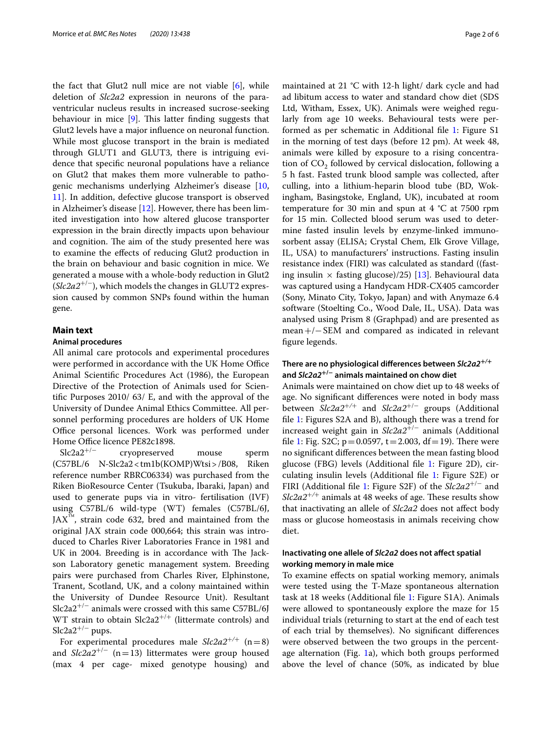the fact that Glut2 null mice are not viable [[6\]](#page-5-2), while deletion of *Slc2a2* expression in neurons of the paraventricular nucleus results in increased sucrose-seeking behaviour in mice  $[9]$  $[9]$ . This latter finding suggests that Glut2 levels have a major infuence on neuronal function. While most glucose transport in the brain is mediated through GLUT1 and GLUT3, there is intriguing evidence that specifc neuronal populations have a reliance on Glut2 that makes them more vulnerable to pathogenic mechanisms underlying Alzheimer's disease [\[10](#page-5-6), [11\]](#page-5-7). In addition, defective glucose transport is observed in Alzheimer's disease [[12\]](#page-5-8). However, there has been limited investigation into how altered glucose transporter expression in the brain directly impacts upon behaviour and cognition. The aim of the study presented here was to examine the efects of reducing Glut2 production in the brain on behaviour and basic cognition in mice. We generated a mouse with a whole-body reduction in Glut2 (*Slc2a2*+/−), which models the changes in GLUT2 expression caused by common SNPs found within the human gene.

## **Main text**

## **Animal procedures**

All animal care protocols and experimental procedures were performed in accordance with the UK Home Office Animal Scientifc Procedures Act (1986), the European Directive of the Protection of Animals used for Scientifc Purposes 2010/ 63/ E, and with the approval of the University of Dundee Animal Ethics Committee. All personnel performing procedures are holders of UK Home Office personal licences. Work was performed under Home Office licence PE82c1898.

Slc2a2+/− cryopreserved mouse sperm (C57BL/6 N-Slc2a2<tm1b(KOMP)Wtsi>/B08, Riken reference number RBRC06334) was purchased from the Riken BioResource Center (Tsukuba, Ibaraki, Japan) and used to generate pups via in vitro- fertilisation (IVF) using C57BL/6 wild-type (WT) females (C57BL/6J,  $JAX^M$ , strain code 632, bred and maintained from the original JAX strain code 000,664; this strain was introduced to Charles River Laboratories France in 1981 and UK in 2004. Breeding is in accordance with The Jackson Laboratory genetic management system. Breeding pairs were purchased from Charles River, Elphinstone, Tranent, Scotland, UK, and a colony maintained within the University of Dundee Resource Unit). Resultant Slc2a2<sup>+/−</sup> animals were crossed with this same C57BL/6J WT strain to obtain  $Slc2a2^{+/+}$  (littermate controls) and Slc2a $2^{+/-}$  pups.

For experimental procedures male  $Slc2a2^{+/+}$  (n=8) and  $Slc2a2^{+/-}$  (n=13) littermates were group housed (max 4 per cage- mixed genotype housing) and maintained at 21 °C with 12-h light/ dark cycle and had ad libitum access to water and standard chow diet (SDS Ltd, Witham, Essex, UK). Animals were weighed regularly from age 10 weeks. Behavioural tests were performed as per schematic in Additional fle [1](#page-5-9): Figure S1 in the morning of test days (before 12 pm). At week 48, animals were killed by exposure to a rising concentration of  $CO<sub>2</sub>$  followed by cervical dislocation, following a 5 h fast. Fasted trunk blood sample was collected, after culling, into a lithium-heparin blood tube (BD, Wokingham, Basingstoke, England, UK), incubated at room temperature for 30 min and spun at  $4 \text{ }^{\circ}C$  at 7500 rpm for 15 min. Collected blood serum was used to determine fasted insulin levels by enzyme-linked immunosorbent assay (ELISA; Crystal Chem, Elk Grove Village, IL, USA) to manufacturers' instructions. Fasting insulin resistance index (FIRI) was calculated as standard ((fasting insulin  $\times$  fasting glucose)/25) [[13](#page-5-10)]. Behavioural data was captured using a Handycam HDR-CX405 camcorder (Sony, Minato City, Tokyo, Japan) and with Anymaze 6.4 software (Stoelting Co., Wood Dale, IL, USA). Data was analysed using Prism 8 (Graphpad) and are presented as mean+/−SEM and compared as indicated in relevant fgure legends.

# **There are no physiological diferences between** *Slc2a2***+***/***<sup>+</sup> and** *Slc2a2***+/− animals maintained on chow diet**

Animals were maintained on chow diet up to 48 weeks of age. No signifcant diferences were noted in body mass between *Slc2a2*+*/*+ and *Slc2a2*+/− groups (Additional fle [1:](#page-5-9) Figures S2A and B), although there was a trend for increased weight gain in *Slc2a2*+/− animals (Additional file [1:](#page-5-9) Fig. S2C;  $p = 0.0597$ ,  $t = 2.003$ ,  $df = 19$ ). There were no signifcant diferences between the mean fasting blood glucose (FBG) levels (Additional fle [1:](#page-5-9) Figure 2D), circulating insulin levels (Additional fle [1](#page-5-9): Figure S2E) or FIRI (Additional fle [1](#page-5-9): Figure S2F) of the *Slc2a2*+/− and *Slc2a2<sup>+/+</sup>* animals at 48 weeks of age. These results show that inactivating an allele of *Slc2a2* does not afect body mass or glucose homeostasis in animals receiving chow diet.

## **Inactivating one allele of** *Slc2a2* **does not afect spatial working memory in male mice**

To examine efects on spatial working memory, animals were tested using the T-Maze spontaneous alternation task at 18 weeks (Additional fle [1](#page-5-9): Figure S1A). Animals were allowed to spontaneously explore the maze for 15 individual trials (returning to start at the end of each test of each trial by themselves). No signifcant diferences were observed between the two groups in the percentage alternation (Fig. [1a](#page-2-0)), which both groups performed above the level of chance (50%, as indicated by blue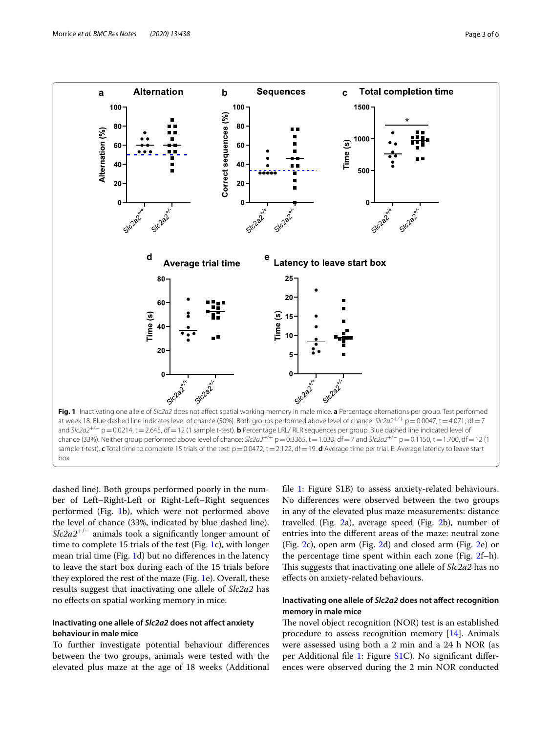

<span id="page-2-0"></span>dashed line). Both groups performed poorly in the number of Left–Right-Left or Right-Left–Right sequences performed (Fig. [1](#page-2-0)b), which were not performed above the level of chance (33%, indicated by blue dashed line). *Slc2a2<sup>+/−</sup>* animals took a significantly longer amount of time to complete 15 trials of the test (Fig. [1c](#page-2-0)), with longer mean trial time (Fig. [1d](#page-2-0)) but no diferences in the latency to leave the start box during each of the 15 trials before they explored the rest of the maze (Fig. [1](#page-2-0)e). Overall, these results suggest that inactivating one allele of *Slc2a2* has no efects on spatial working memory in mice.

# **Inactivating one allele of** *Slc2a2* **does not afect anxiety behaviour in male mice**

To further investigate potential behaviour diferences between the two groups, animals were tested with the elevated plus maze at the age of 18 weeks (Additional fle [1](#page-5-9): Figure S1B) to assess anxiety-related behaviours. No diferences were observed between the two groups in any of the elevated plus maze measurements: distance travelled (Fig. [2](#page-3-0)a), average speed (Fig. [2](#page-3-0)b), number of entries into the diferent areas of the maze: neutral zone (Fig. [2c](#page-3-0)), open arm (Fig. [2d](#page-3-0)) and closed arm (Fig. [2e](#page-3-0)) or the percentage time spent within each zone (Fig. [2f](#page-3-0)–h). This suggests that inactivating one allele of *Slc2a2* has no efects on anxiety-related behaviours.

# **Inactivating one allele of** *Slc2a2* **does not afect recognition memory in male mice**

The novel object recognition (NOR) test is an established procedure to assess recognition memory [\[14\]](#page-5-11). Animals were assessed using both a 2 min and a 24 h NOR (as per Additional file [1](#page-5-9): Figure [S1](#page-2-0)C). No significant differences were observed during the 2 min NOR conducted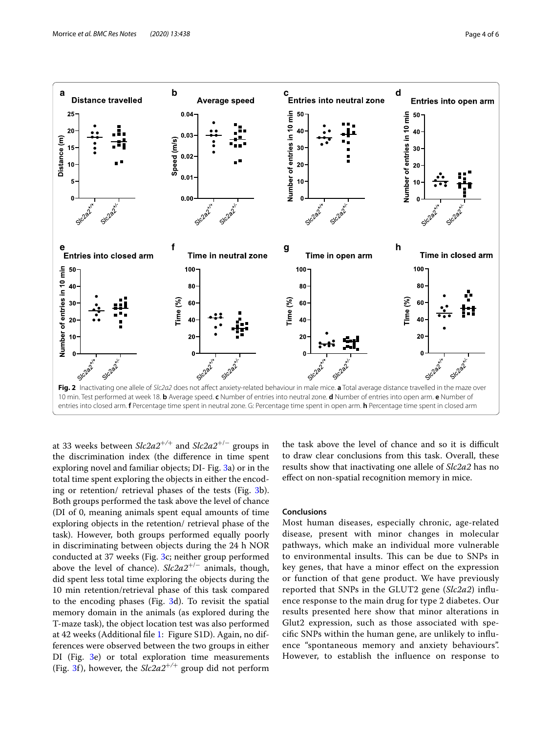

<span id="page-3-0"></span>at 33 weeks between *Slc2a2*+*/*+ and *Slc2a2*+/− groups in the discrimination index (the diference in time spent exploring novel and familiar objects; DI- Fig. [3a](#page-4-0)) or in the total time spent exploring the objects in either the encoding or retention/ retrieval phases of the tests (Fig. [3b](#page-4-0)). Both groups performed the task above the level of chance (DI of 0, meaning animals spent equal amounts of time exploring objects in the retention/ retrieval phase of the task). However, both groups performed equally poorly in discriminating between objects during the 24 h NOR conducted at 37 weeks (Fig. [3c](#page-4-0); neither group performed above the level of chance). *Slc2a2*<sup>+</sup>/<sup>−</sup> animals, though, did spent less total time exploring the objects during the 10 min retention/retrieval phase of this task compared to the encoding phases (Fig. [3](#page-4-0)d). To revisit the spatial memory domain in the animals (as explored during the T-maze task), the object location test was also performed at 42 weeks (Additional fle [1](#page-5-9): Figure S1D). Again, no differences were observed between the two groups in either DI (Fig. [3e](#page-4-0)) or total exploration time measurements (Fig. [3f](#page-4-0)), however, the  $Slc2a2^{+/+}$  group did not perform

the task above the level of chance and so it is difficult to draw clear conclusions from this task. Overall, these results show that inactivating one allele of *Slc2a2* has no efect on non-spatial recognition memory in mice.

### **Conclusions**

Most human diseases, especially chronic, age-related disease, present with minor changes in molecular pathways, which make an individual more vulnerable to environmental insults. This can be due to SNPs in key genes, that have a minor efect on the expression or function of that gene product. We have previously reported that SNPs in the GLUT2 gene (*Slc2a2*) infuence response to the main drug for type 2 diabetes. Our results presented here show that minor alterations in Glut2 expression, such as those associated with specifc SNPs within the human gene, are unlikely to infuence "spontaneous memory and anxiety behaviours". However, to establish the infuence on response to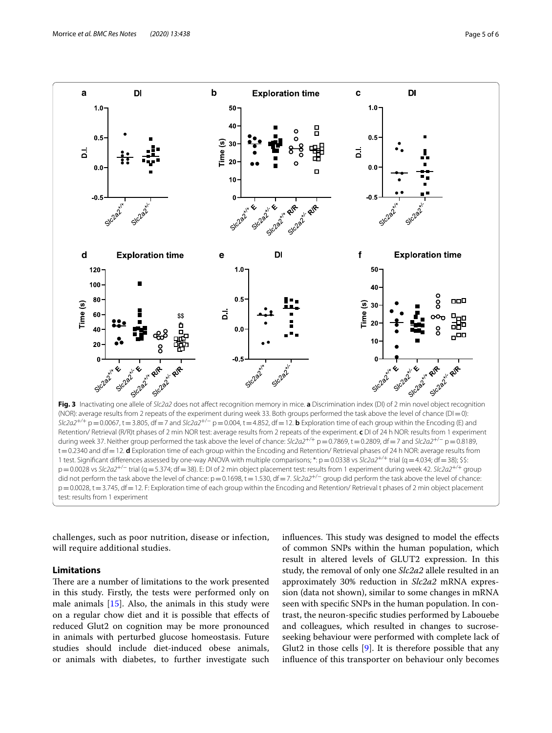

<span id="page-4-0"></span>challenges, such as poor nutrition, disease or infection, will require additional studies.

# **Limitations**

There are a number of limitations to the work presented in this study. Firstly, the tests were performed only on male animals  $[15]$  $[15]$ . Also, the animals in this study were on a regular chow diet and it is possible that efects of reduced Glut2 on cognition may be more pronounced in animals with perturbed glucose homeostasis. Future studies should include diet-induced obese animals, or animals with diabetes, to further investigate such influences. This study was designed to model the effects of common SNPs within the human population, which result in altered levels of GLUT2 expression. In this study, the removal of only one *Slc2a2* allele resulted in an approximately 30% reduction in *Slc2a2* mRNA expression (data not shown), similar to some changes in mRNA seen with specifc SNPs in the human population. In contrast, the neuron-specifc studies performed by Labouebe and colleagues, which resulted in changes to sucroseseeking behaviour were performed with complete lack of Glut2 in those cells [\[9](#page-5-5)]. It is therefore possible that any infuence of this transporter on behaviour only becomes